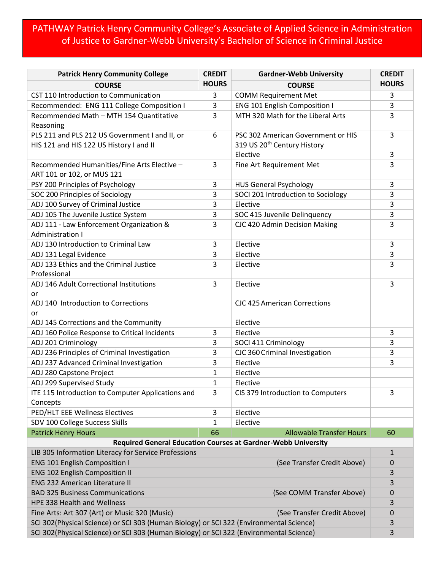## PATHWAY Patrick Henry Community College's Associate of Applied Science in Administration of Justice to Gardner-Webb University's Bachelor of Science in Criminal Justice

| <b>Patrick Henry Community College</b>                                                    | <b>CREDIT</b> | <b>Gardner-Webb University</b>                                                            | <b>CREDIT</b> |
|-------------------------------------------------------------------------------------------|---------------|-------------------------------------------------------------------------------------------|---------------|
| <b>COURSE</b>                                                                             | <b>HOURS</b>  | <b>COURSE</b>                                                                             | <b>HOURS</b>  |
| CST 110 Introduction to Communication                                                     | 3             | <b>COMM Requirement Met</b>                                                               | 3             |
| Recommended: ENG 111 College Composition I                                                | 3             | <b>ENG 101 English Composition I</b>                                                      | 3             |
| Recommended Math - MTH 154 Quantitative<br>Reasoning                                      | 3             | MTH 320 Math for the Liberal Arts                                                         | 3             |
| PLS 211 and PLS 212 US Government I and II, or<br>HIS 121 and HIS 122 US History I and II | 6             | PSC 302 American Government or HIS<br>319 US 20 <sup>th</sup> Century History<br>Elective | 3<br>3        |
| Recommended Humanities/Fine Arts Elective -<br>ART 101 or 102, or MUS 121                 | 3             | Fine Art Requirement Met                                                                  | 3             |
| PSY 200 Principles of Psychology                                                          | 3             | <b>HUS General Psychology</b>                                                             | 3             |
| SOC 200 Principles of Sociology                                                           | 3             | SOCI 201 Introduction to Sociology                                                        | 3             |
| ADJ 100 Survey of Criminal Justice                                                        | 3             | Elective                                                                                  | 3             |
| ADJ 105 The Juvenile Justice System                                                       | 3             | SOC 415 Juvenile Delinquency                                                              | 3             |
| ADJ 111 - Law Enforcement Organization &<br><b>Administration I</b>                       | 3             | CJC 420 Admin Decision Making                                                             | 3             |
| ADJ 130 Introduction to Criminal Law                                                      | 3             | Elective                                                                                  | 3             |
| ADJ 131 Legal Evidence                                                                    | 3             | Elective                                                                                  | 3             |
| ADJ 133 Ethics and the Criminal Justice<br>Professional                                   | 3             | Elective                                                                                  | 3             |
| ADJ 146 Adult Correctional Institutions<br>or                                             | 3             | Elective                                                                                  | 3             |
| ADJ 140 Introduction to Corrections<br>or<br>ADJ 145 Corrections and the Community        |               | <b>CJC 425 American Corrections</b><br>Elective                                           |               |
| ADJ 160 Police Response to Critical Incidents                                             | 3             | Elective                                                                                  | 3             |
| ADJ 201 Criminology                                                                       | 3             | SOCI 411 Criminology                                                                      | 3             |
| ADJ 236 Principles of Criminal Investigation                                              | 3             | CJC 360 Criminal Investigation                                                            | 3             |
| ADJ 237 Advanced Criminal Investigation                                                   | 3             | Elective                                                                                  | 3             |
| ADJ 280 Capstone Project                                                                  | 1             | Elective                                                                                  |               |
| ADJ 299 Supervised Study                                                                  | 1             | Elective                                                                                  |               |
| ITE 115 Introduction to Computer Applications and<br>Concepts                             | 3             | CIS 379 Introduction to Computers                                                         | 3             |
| PED/HLT EEE Wellness Electives                                                            | 3             | Elective                                                                                  |               |
| SDV 100 College Success Skills                                                            | 1             | Elective                                                                                  |               |
| <b>Patrick Henry Hours</b>                                                                | 66            | <b>Allowable Transfer Hours</b>                                                           | 60            |
| <b>Required General Education Courses at Gardner-Webb University</b>                      |               |                                                                                           |               |
| LIB 305 Information Literacy for Service Professions                                      |               |                                                                                           | $\mathbf{1}$  |
| <b>ENG 101 English Composition I</b>                                                      |               | (See Transfer Credit Above)                                                               | 0             |
| <b>ENG 102 English Composition II</b>                                                     |               |                                                                                           | 3             |
| <b>ENG 232 American Literature II</b>                                                     |               |                                                                                           | 3             |
| <b>BAD 325 Business Communications</b>                                                    |               | (See COMM Transfer Above)                                                                 | 0             |
| HPE 338 Health and Wellness                                                               |               |                                                                                           | 3             |
| Fine Arts: Art 307 (Art) or Music 320 (Music)                                             |               | (See Transfer Credit Above)                                                               | 0             |
| SCI 302(Physical Science) or SCI 303 (Human Biology) or SCI 322 (Environmental Science)   |               |                                                                                           | 3             |
| SCI 302(Physical Science) or SCI 303 (Human Biology) or SCI 322 (Environmental Science)   |               |                                                                                           | 3             |